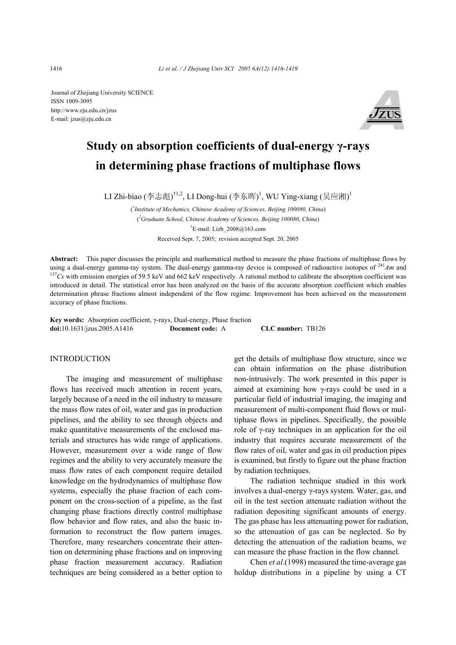Journal of Zhejiang University SCIENCE ISSN 1009-3095 http://www.zju.edu.cn/jzus E-mail: jzus@zju.edu.cn



# **Study on absorption coefficients of dual-energy γ-rays in determining phase fractions of multiphase flows**

LI Zhi-biao (李志彪)<sup>†1,2</sup>, LI Dong-hui (李东晖)<sup>1</sup>, WU Ying-xiang (吴应湘)<sup>1</sup>

( *1 Institute of Mechanics, Chinese Academy of Sciences, Beijing 100080, China*) ( *2 Graduate School, Chinese Academy of Sciences, Beijing 100080, China*) † E-mail: Lizb\_2008@163.com Received Sept. 7, 2005; revision accepted Sept. 20, 2005

**Abstract:** This paper discusses the principle and mathematical method to measure the phase fractions of multiphase flows by using a dual-energy gamma-ray system. The dual-energy gamma-ray device is composed of radioactive isotopes of  $^{241}Am$  and  $^{137}Cs$  with emission energies of 59.5 keV and 662 keV respectively. A rational method to calibra introduced in detail. The statistical error has been analyzed on the basis of the accurate absorption coefficient which enables determination phrase fractions almost independent of the flow regime. Improvement has been achieved on the measurement accuracy of phase fractions.

**Key words:** Absorption coefficient, γ-rays, Dual-energy, Phase fraction **doi:**10.1631/jzus.2005.A1416 **Document code:** A **CLC number:** TB126

#### INTRODUCTION

The imaging and measurement of multiphase flows has received much attention in recent years, largely because of a need in the oil industry to measure the mass flow rates of oil, water and gas in production pipelines, and the ability to see through objects and make quantitative measurements of the enclosed materials and structures has wide range of applications. However, measurement over a wide range of flow regimes and the ability to very accurately measure the mass flow rates of each component require detailed knowledge on the hydrodynamics of multiphase flow systems, especially the phase fraction of each component on the cross-section of a pipeline, as the fast changing phase fractions directly control multiphase flow behavior and flow rates, and also the basic information to reconstruct the flow pattern images. Therefore, many researchers concentrate their attention on determining phase fractions and on improving phase fraction measurement accuracy. Radiation techniques are being considered as a better option to

get the details of multiphase flow structure, since we can obtain information on the phase distribution non-intrusively. The work presented in this paper is aimed at examining how γ-rays could be used in a particular field of industrial imaging, the imaging and measurement of multi-component fluid flows or multiphase flows in pipelines. Specifically, the possible role of γ-ray techniques in an application for the oil industry that requires accurate measurement of the flow rates of oil, water and gas in oil production pipes is examined, but firstly to figure out the phase fraction by radiation techniques.

The radiation technique studied in this work involves a dual-energy γ-rays system. Water, gas, and oil in the test section attenuate radiation without the radiation depositing significant amounts of energy. The gas phase has less attenuating power for radiation, so the attenuation of gas can be neglected. So by detecting the attenuation of the radiation beams, we can measure the phase fraction in the flow channel.

Chen *et al*.(1998) measured the time-average gas holdup distributions in a pipeline by using a CT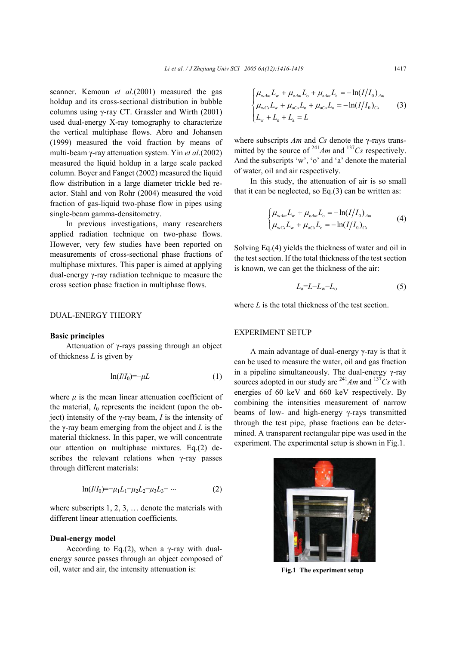scanner. Kemoun *et al*.(2001) measured the gas holdup and its cross-sectional distribution in bubble columns using γ-ray CT. Grassler and Wirth (2001) used dual-energy X-ray tomography to characterize the vertical multiphase flows. Abro and Johansen (1999) measured the void fraction by means of multi-beam γ-ray attenuation system. Yin *et al*.(2002) measured the liquid holdup in a large scale packed column. Boyer and Fanget (2002) measured the liquid flow distribution in a large diameter trickle bed reactor. Stahl and von Rohr (2004) measured the void fraction of gas-liquid two-phase flow in pipes using single-beam gamma-densitometry.

In previous investigations, many researchers applied radiation technique on two-phase flows. However, very few studies have been reported on measurements of cross-sectional phase fractions of multiphase mixtures. This paper is aimed at applying dual-energy γ-ray radiation technique to measure the cross section phase fraction in multiphase flows.

## DUAL-ENERGY THEORY

### **Basic principles**

Attenuation of γ-rays passing through an object of thickness *L* is given by

$$
\ln(I/I_0) = -\mu L \tag{1}
$$

where  $\mu$  is the mean linear attenuation coefficient of the material,  $I_0$  represents the incident (upon the object) intensity of the γ-ray beam, *I* is the intensity of the γ-ray beam emerging from the object and *L* is the material thickness. In this paper, we will concentrate our attention on multiphase mixtures. Eq.(2) describes the relevant relations when γ-ray passes through different materials:

$$
\ln(I/I_0) = -\mu_1 L_1 - \mu_2 L_2 - \mu_3 L_3 - \dots \tag{2}
$$

where subscripts 1, 2, 3, … denote the materials with different linear attenuation coefficients.

### **Dual-energy model**

According to Eq.(2), when a  $\gamma$ -ray with dualenergy source passes through an object composed of oil, water and air, the intensity attenuation is:

$$
\begin{cases}\n\mu_{\text{w}}L_{\text{w}} + \mu_{\text{o}}L_{\text{o}} + \mu_{\text{a}}L_{\text{a}} = -\ln(I/I_0)_{Am} \\
\mu_{\text{w}}c_sL_{\text{w}} + \mu_{\text{o}}c_sL_{\text{o}} + \mu_{\text{a}}c_sL_{\text{a}} = -\ln(I/I_0)_{Cs} \\
L_{\text{w}} + L_{\text{o}} + L_{\text{a}} = L\n\end{cases}
$$
\n(3)

where subscripts *Am* and *Cs* denote the γ-rays transmitted by the source of  $^{241}Am$  and  $^{137}Cs$  respectively. And the subscripts 'w', 'o' and 'a' denote the material of water, oil and air respectively.

In this study, the attenuation of air is so small that it can be neglected, so Eq.(3) can be written as:

$$
\begin{cases} \mu_{\text{w}_{\text{dm}}} L_{\text{w}} + \mu_{\text{o}_{\text{dm}}} L_{\text{o}} = -\ln(I/I_0)_{\text{Am}} \\ \mu_{\text{w}_{\text{G}}} L_{\text{w}} + \mu_{\text{o}_{\text{G}}} L_{\text{o}} = -\ln(I/I_0)_{\text{Cs}} \end{cases} \tag{4}
$$

Solving Eq.(4) yields the thickness of water and oil in the test section. If the total thickness of the test section is known, we can get the thickness of the air:

$$
L_{\rm a} = L - L_{\rm w} - L_{\rm o} \tag{5}
$$

where *L* is the total thickness of the test section.

## EXPERIMENT SETUP

A main advantage of dual-energy γ-ray is that it can be used to measure the water, oil and gas fraction in a pipeline simultaneously. The dual-energy γ-ray sources adopted in our study are  $^{241}Am$  and  $^{137}Cs$  with energies of 60 keV and 660 keV respectively. By combining the intensities measurement of narrow beams of low- and high-energy γ-rays transmitted through the test pipe, phase fractions can be determined. A transparent rectangular pipe was used in the experiment. The experimental setup is shown in Fig.1.



**Fig.1 The experiment setup**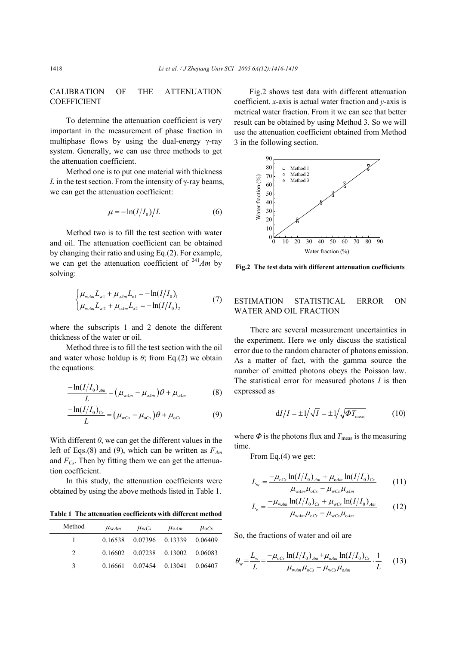# CALIBRATION OF THE ATTENUATION **COEFFICIENT**

To determine the attenuation coefficient is very important in the measurement of phase fraction in multiphase flows by using the dual-energy γ-ray system. Generally, we can use three methods to get the attenuation coefficient.

Method one is to put one material with thickness *L* in the test section. From the intensity of  $\gamma$ -ray beams, we can get the attenuation coefficient:

$$
\mu = -\ln(I/I_0)/L\tag{6}
$$

Method two is to fill the test section with water and oil. The attenuation coefficient can be obtained by changing their ratio and using Eq.(2). For example, we can get the attenuation coefficient of  $241$ *Am* by solving:

$$
\begin{cases}\n\mu_{\text{w}_{\text{dm}}}L_{\text{w}_1} + \mu_{\text{o}_{\text{dm}}}L_{\text{o}_1} = -\ln(I/I_0), \\
\mu_{\text{w}_{\text{dm}}}L_{\text{w}_2} + \mu_{\text{o}_{\text{dm}}}L_{\text{o}_2} = -\ln(I/I_0),\n\end{cases} (7)
$$

where the subscripts 1 and 2 denote the different thickness of the water or oil.

Method three is to fill the test section with the oil and water whose holdup is  $\theta$ ; from Eq.(2) we obtain the equations:

$$
\frac{-\ln(I/I_0)_{Am}}{L} = (\mu_{wAm} - \mu_{oAm})\theta + \mu_{oAm}
$$
 (8)

$$
\frac{-\ln(I/I_0)_{Cs}}{L} = (\mu_{\text{wcs}} - \mu_{\text{ocs}})\theta + \mu_{\text{ocs}} \tag{9}
$$

With different  $\theta$ , we can get the different values in the left of Eqs.(8) and (9), which can be written as  $F_{Am}$ and  $F_{Cs}$ . Then by fitting them we can get the attenuation coefficient.

In this study, the attenuation coefficients were obtained by using the above methods listed in Table 1.

**Table 1 The attenuation coefficients with different method**

| Method        | $\mu_{\text{wAm}}$ | $\mu_{\text{wCs}}$ | $\mu_{0Am}$                             | $\mu_{0Cs}$ |
|---------------|--------------------|--------------------|-----------------------------------------|-------------|
|               |                    |                    | 0.16538 0.07396 0.13339 0.06409         |             |
| $\mathcal{L}$ |                    |                    | 0.16602 0.07238 0.13002 0.06083         |             |
| $\mathcal{L}$ |                    |                    | $0.16661$ $0.07454$ $0.13041$ $0.06407$ |             |

Fig.2 shows test data with different attenuation coefficient. *x*-axis is actual water fraction and *y*-axis is metrical water fraction. From it we can see that better result can be obtained by using Method 3. So we will use the attenuation coefficient obtained from Method 3 in the following section.



**Fig.2 The test data with different attenuation coefficients**

## ESTIMATION STATISTICAL ERROR ON WATER AND OIL FRACTION

There are several measurement uncertainties in the experiment. Here we only discuss the statistical error due to the random character of photons emission. As a matter of fact, with the gamma source the number of emitted photons obeys the Poisson law. The statistical error for measured photons *I* is then expressed as

$$
dI/I = \pm 1/\sqrt{I} = \pm 1/\sqrt{\Phi T_{\text{meas}}}
$$
 (10)

where  $\Phi$  is the photons flux and  $T_{\text{meas}}$  is the measuring time.

From Eq.(4) we get:

$$
L_{\rm w} = \frac{-\mu_{\rm oCs} \ln(I/I_0)_{Am} + \mu_{\rm oAm} \ln(I/I_0)_{Cs}}{\mu_{\rm wAm} \mu_{\rm oCs} - \mu_{\rm wCs} \mu_{\rm odm}}
$$
(11)

$$
L_{\rm o} = \frac{-\mu_{\rm wAm} \ln(I/I_0)_{Cs} + \mu_{\rm wCs} \ln(I/I_0)_{Am}}{\mu_{\rm wAm} \mu_{\rm oCs} - \mu_{\rm wCs} \mu_{\rm oAm}} \tag{12}
$$

So, the fractions of water and oil are

$$
\theta_{\rm w} = \frac{L_{\rm w}}{L} = \frac{-\mu_{\rm oCs} \ln(I/I_0)_{\rm Am} + \mu_{\rm odm} \ln(I/I_0)_{\rm Cs}}{\mu_{\rm wdm} \mu_{\rm oCs} - \mu_{\rm wCs} \mu_{\rm odm}} \cdot \frac{1}{L} \tag{13}
$$